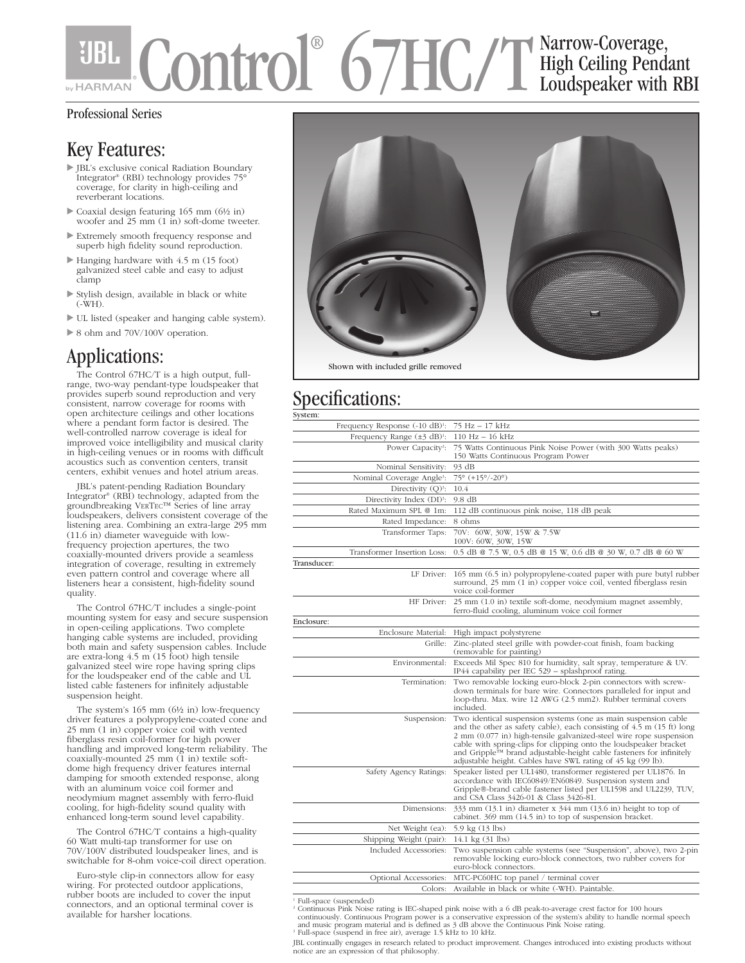### Control® 67HC/T Narrow-Coverage, High Ceiling Pendant Loudspeaker with RBI **by HARMAN**

### Professional Series

### Key Features:

- JBL's exclusive conical Radiation Boundary Integrator® (RBI) technology provides 75° coverage, for clarity in high-ceiling and reverberant locations.
- Coaxial design featuring 165 mm (6½ in) woofer and 25 mm (1 in) soft-dome tweeter.
- Extremely smooth frequency response and superb high fidelity sound reproduction.
- Hanging hardware with 4.5 m (15 foot) galvanized steel cable and easy to adjust clamp
- Stylish design, available in black or white (-WH).
- UL listed (speaker and hanging cable system).
- ▶ 8 ohm and 70V/100V operation.

### Applications:

The Control 67HC/T is a high output, fullrange, two-way pendant-type loudspeaker that provides superb sound reproduction and very consistent, narrow coverage for rooms with open architecture ceilings and other locations where a pendant form factor is desired. The well-controlled narrow coverage is ideal for improved voice intelligibility and musical clarity in high-ceiling venues or in rooms with difficult acoustics such as convention centers, transit centers, exhibit venues and hotel atrium areas.

JBL's patent-pending Radiation Boundary Integrator® (RBI) technology, adapted from the groundbreaking VERTEC™ Series of line array loudspeakers, delivers consistent coverage of the listening area. Combining an extra-large 295 mm (11.6 in) diameter waveguide with lowfrequency projection apertures, the two coaxially-mounted drivers provide a seamless integration of coverage, resulting in extremely even pattern control and coverage where all listeners hear a consistent, high-fidelity sound quality.

The Control 67HC/T includes a single-point mounting system for easy and secure suspension in open-ceiling applications. Two complete hanging cable systems are included, providing both main and safety suspension cables. Include are extra-long 4.5 m (15 foot) high tensile galvanized steel wire rope having spring clips for the loudspeaker end of the cable and UL listed cable fasteners for infinitely adjustable suspension height.

The system's 165 mm (6½ in) low-frequency driver features a polypropylene-coated cone and 25 mm (1 in) copper voice coil with vented fiberglass resin coil-former for high power handling and improved long-term reliability. The coaxially-mounted 25 mm (1 in) textile softdome high frequency driver features internal damping for smooth extended response, along with an aluminum voice coil former and neodymium magnet assembly with ferro-fluid cooling, for high-fidelity sound quality with enhanced long-term sound level capability.

The Control 67HC/T contains a high-quality 60 Watt multi-tap transformer for use on 70V/100V distributed loudspeaker lines, and is switchable for 8-ohm voice-coil direct operation.

Euro-style clip-in connectors allow for easy wiring. For protected outdoor applications, rubber boots are included to cover the input connectors, and an optional terminal cover is available for harsher locations.



# Specifications:

| System:                                     |                                                                                                                                                                                                                                                                                                                                                                                                                          |
|---------------------------------------------|--------------------------------------------------------------------------------------------------------------------------------------------------------------------------------------------------------------------------------------------------------------------------------------------------------------------------------------------------------------------------------------------------------------------------|
| Frequency Response (-10 dB) <sup>1</sup> :  | 75 Hz - 17 kHz                                                                                                                                                                                                                                                                                                                                                                                                           |
| Frequency Range $(\pm 3$ dB) <sup>1</sup> : | $110 Hz - 16 kHz$                                                                                                                                                                                                                                                                                                                                                                                                        |
| Power Capacity <sup>2</sup> :               | 75 Watts Continuous Pink Noise Power (with 300 Watts peaks)<br>150 Watts Continuous Program Power                                                                                                                                                                                                                                                                                                                        |
| Nominal Sensitivity:                        | 93 dB                                                                                                                                                                                                                                                                                                                                                                                                                    |
| Nominal Coverage Angle <sup>3</sup> :       | 75° (+15°/-20°)                                                                                                                                                                                                                                                                                                                                                                                                          |
| Directivity $(Q)^3$ :                       | 10.4                                                                                                                                                                                                                                                                                                                                                                                                                     |
| Directivity Index (DI) <sup>3</sup> :       | $9.8 \text{ dB}$                                                                                                                                                                                                                                                                                                                                                                                                         |
| Rated Maximum SPL @ 1m:                     | 112 dB continuous pink noise, 118 dB peak                                                                                                                                                                                                                                                                                                                                                                                |
| Rated Impedance:                            | 8 ohms                                                                                                                                                                                                                                                                                                                                                                                                                   |
| Transformer Taps:                           | 70V: 60W, 30W, 15W & 7.5W<br>100V: 60W, 30W, 15W                                                                                                                                                                                                                                                                                                                                                                         |
| Transformer Insertion Loss:                 | 0.5 dB @ 7.5 W, 0.5 dB @ 15 W, 0.6 dB @ 30 W, 0.7 dB @ 60 W                                                                                                                                                                                                                                                                                                                                                              |
| Transducer:                                 |                                                                                                                                                                                                                                                                                                                                                                                                                          |
| LF Driver:                                  | 165 mm (6.5 in) polypropylene-coated paper with pure butyl rubber<br>surround, 25 mm (1 in) copper voice coil, vented fiberglass resin<br>voice coil-former                                                                                                                                                                                                                                                              |
| HF Driver:                                  | 25 mm (1.0 in) textile soft-dome, neodymium magnet assembly,<br>ferro-fluid cooling, aluminum voice coil former                                                                                                                                                                                                                                                                                                          |
| Enclosure:                                  |                                                                                                                                                                                                                                                                                                                                                                                                                          |
| Enclosure Material:                         | High impact polystyrene                                                                                                                                                                                                                                                                                                                                                                                                  |
| Grille:                                     | Zinc-plated steel grille with powder-coat finish, foam backing<br>(removable for painting)                                                                                                                                                                                                                                                                                                                               |
| Environmental:                              | Exceeds Mil Spec 810 for humidity, salt spray, temperature & UV.<br>IP44 capability per IEC 529 - splashproof rating.                                                                                                                                                                                                                                                                                                    |
| Termination:                                | Two removable locking euro-block 2-pin connectors with screw-<br>down terminals for bare wire. Connectors paralleled for input and<br>loop-thru. Max. wire 12 AWG (2.5 mm2). Rubber terminal covers<br>included.                                                                                                                                                                                                         |
| Suspension:                                 | Two identical suspension systems (one as main suspension cable<br>and the other as safety cable), each consisting of 4.5 m (15 ft) long<br>2 mm (0.077 in) high-tensile galvanized-steel wire rope suspension<br>cable with spring-clips for clipping onto the loudspeaker bracket<br>and Gripple™ brand adjustable-height cable fasteners for infinitely<br>adjustable height. Cables have SWL rating of 45 kg (99 lb). |
| Safety Agency Ratings:                      | Speaker listed per UL1480, transformer registered per UL1876. In<br>accordance with IEC60849/EN60849. Suspension system and<br>Gripple®-brand cable fastener listed per UL1598 and UL2239, TUV,<br>and CSA Class 3426-01 & Class 3426-81.                                                                                                                                                                                |
| Dimensions:                                 | $333$ mm $(13.1$ in) diameter x $344$ mm $(13.6)$ in) height to top of<br>cabinet. 369 mm (14.5 in) to top of suspension bracket.                                                                                                                                                                                                                                                                                        |
| Net Weight (ea):                            | 5.9 kg (13 lbs)                                                                                                                                                                                                                                                                                                                                                                                                          |
| Shipping Weight (pair):                     | 14.1 kg (31 lbs)                                                                                                                                                                                                                                                                                                                                                                                                         |
| Included Accessories:                       | Two suspension cable systems (see "Suspension", above), two 2-pin<br>removable locking euro-block connectors, two rubber covers for<br>euro-block connectors.                                                                                                                                                                                                                                                            |
| Optional Accessories:                       | MTC-PC60HC top panel / terminal cover                                                                                                                                                                                                                                                                                                                                                                                    |
| Colors:                                     | Available in black or white (-WH). Paintable.                                                                                                                                                                                                                                                                                                                                                                            |
|                                             |                                                                                                                                                                                                                                                                                                                                                                                                                          |

<sup>1</sup> Full-space (suspended)

<sup>2</sup> Continuous Pink Noise rating is IEC-shaped pink noise with a 6 dB peak-to-average crest factor for 100 hours<br>continuously. Continuous Program power is a conservative expression of the system's ability to handle normal <sup>3</sup> Full-space (suspend in free air), average 1.5 kHz to 10 kHz.

JBL continually engages in research related to product improvement. Changes introduced into existing products without notice are an expression of that philosophy.